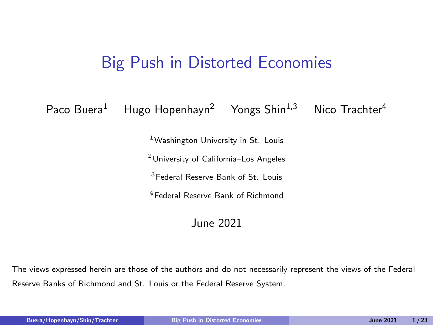#### <span id="page-0-0"></span>Big Push in Distorted Economies

<span id="page-0-1"></span>Paco Buera<sup>1</sup> Hugo Hopenhayn<sup>2</sup> Yongs Shin<sup>1,3</sup> Nico Trachter<sup>4</sup>

<sup>1</sup>Washington University in St. Louis

<sup>2</sup>University of California–Los Angeles

<sup>3</sup>Federal Reserve Bank of St. Louis

<sup>4</sup>Federal Reserve Bank of Richmond

#### June 2021

The views expressed herein are those of the authors and do not necessarily represent the views of the Federal Reserve Banks of Richmond and St. Louis or the Federal Reserve System.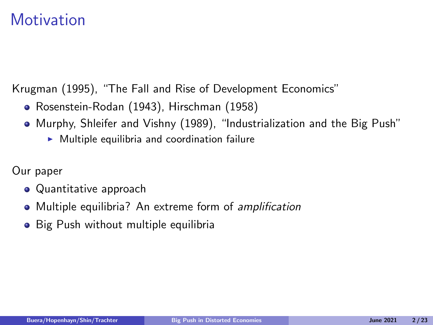### **Motivation**

Krugman (1995), "The Fall and Rise of Development Economics"

- Rosenstein-Rodan (1943), Hirschman (1958)
- Murphy, Shleifer and Vishny (1989), "Industrialization and the Big Push"
	- $\triangleright$  Multiple equilibria and coordination failure

Our paper

- Quantitative approach
- Multiple equilibria? An extreme form of amplification
- Big Push without multiple equilibria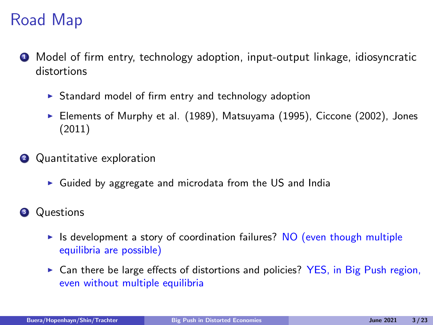# Road Map

- **1** Model of firm entry, technology adoption, input-output linkage, idiosyncratic distortions
	- $\triangleright$  Standard model of firm entry and technology adoption
	- Elements of Murphy et al. (1989), Matsuyama (1995), Ciccone (2002), Jones (2011)
- **2** Quantitative exploration
	- $\triangleright$  Guided by aggregate and microdata from the US and India
- **3** Questions
	- If Is development a story of coordination failures? NO (even though multiple equilibria are possible)
	- $\triangleright$  Can there be large effects of distortions and policies? YES, in Big Push region, even without multiple equilibria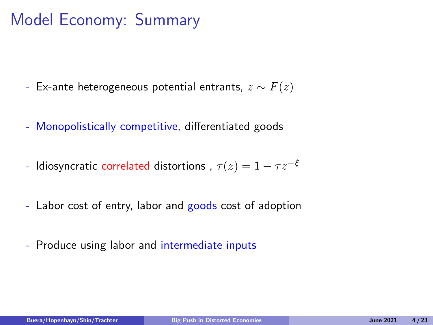# Model Economy: Summary

- Ex-ante heterogeneous potential entrants,  $z \sim F(z)$
- Monopolistically competitive, differentiated goods
- Idiosyncratic correlated distortions ,  $\tau(z) = 1 \tau z^{-\xi}$
- Labor cost of entry, labor and goods cost of adoption
- Produce using labor and intermediate inputs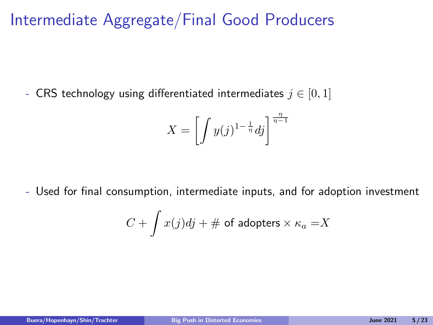### Intermediate Aggregate/Final Good Producers

- CRS technology using differentiated intermediates  $j \in [0,1]$ 

$$
X = \left[ \int y(j)^{1-\frac{1}{\eta}} dj \right]^{\frac{\eta}{\eta-1}}
$$

- Used for final consumption, intermediate inputs, and for adoption investment

$$
C + \int x(j)dj + \# \text{ of adopters} \times \kappa_a = X
$$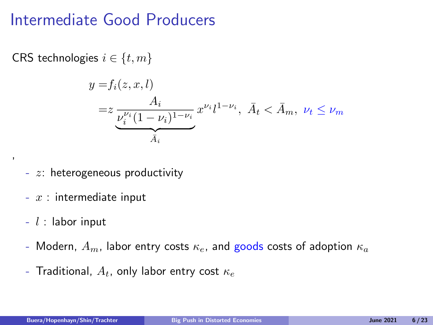#### Intermediate Good Producers

CRS technologies  $i \in \{t, m\}$ 

$$
y = f_i(z, x, l)
$$
  
=  $z \underbrace{\frac{A_i}{\nu_i^{\nu_i} (1 - \nu_i)^{1 - \nu_i}}}_{\bar{A}_i} x^{\nu_i} l^{1 - \nu_i}, \ \bar{A}_t < \bar{A}_m, \ \nu_t \le \nu_m$ 

- $z$ : heterogeneous productivity
- $x$  : intermediate input
- $-l$  : labor input

,

- Modern,  $A_m$ , labor entry costs  $\kappa_e$ , and goods costs of adoption  $\kappa_a$
- Traditional,  $A_t$ , only labor entry cost  $\kappa_e$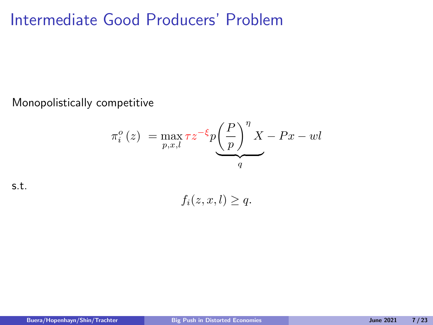### Intermediate Good Producers' Problem

Monopolistically competitive

$$
\pi_i^o(z) = \max_{p,x,l} \tau z^{-\xi} p \underbrace{\left(\frac{P}{p}\right)^n X - Px -wl}{q}
$$

s.t.

 $f_i(z, x, l) > q.$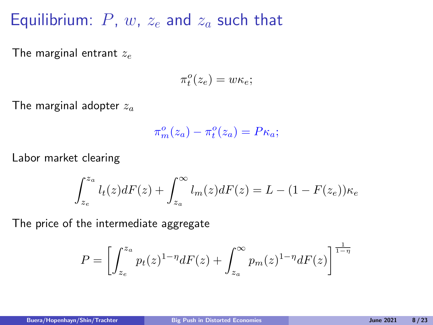#### Equilibrium:  $P$ ,  $w$ ,  $z_e$  and  $z_a$  such that

The marginal entrant  $z_e$ 

$$
\pi_t^o(z_e) = w\kappa_e;
$$

The marginal adopter  $z_a$ 

$$
\pi_m^o(z_a) - \pi_t^o(z_a) = P\kappa_a;
$$

Labor market clearing

$$
\int_{z_e}^{z_a} l_t(z)dF(z) + \int_{z_a}^{\infty} l_m(z)dF(z) = L - (1 - F(z_e))\kappa_e
$$

The price of the intermediate aggregate

$$
P = \left[ \int_{z_e}^{z_a} p_t(z)^{1-\eta} dF(z) + \int_{z_a}^{\infty} p_m(z)^{1-\eta} dF(z) \right]^{\frac{1}{1-\eta}}
$$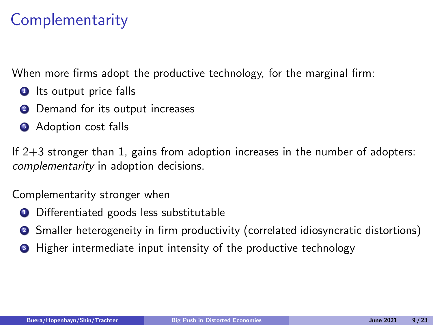### **Complementarity**

When more firms adopt the productive technology, for the marginal firm:

- **1** Its output price falls
- <sup>2</sup> Demand for its output increases
- **3** Adoption cost falls

If 2+3 stronger than 1, gains from adoption increases in the number of adopters: complementarity in adoption decisions.

Complementarity stronger when

- **1** Differentiated goods less substitutable
- <sup>2</sup> Smaller heterogeneity in firm productivity (correlated idiosyncratic distortions)
- **3** Higher intermediate input intensity of the productive technology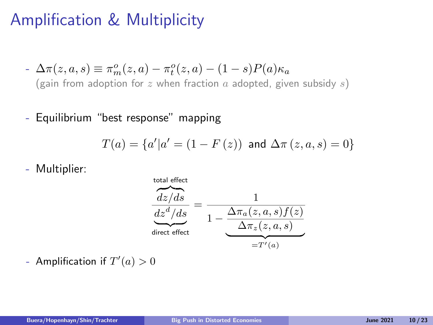# Amplification & Multiplicity

- 
$$
\Delta \pi(z, a, s) \equiv \pi_m^o(z, a) - \pi_t^o(z, a) - (1 - s)P(a)\kappa_a
$$
  
(gain from adoption for z when fraction a adopted, given subsidy s)

- Equilibrium "best response" mapping

$$
T(a)=\left\{a' | a'=\left(1-F\left(z\right)\right) \text{ and } \Delta \pi \left(z,a,s\right)=0\right\}
$$

- Multiplier:



- Amplification if  $T'(a) > 0$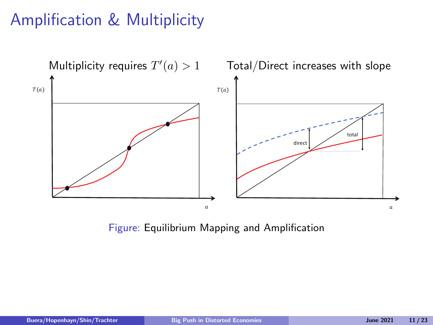# Amplification & Multiplicity



Figure: Equilibrium Mapping and Amplification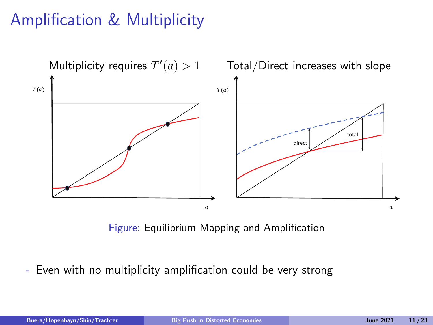# Amplification & Multiplicity



Figure: Equilibrium Mapping and Amplification

- Even with no multiplicity amplification could be very strong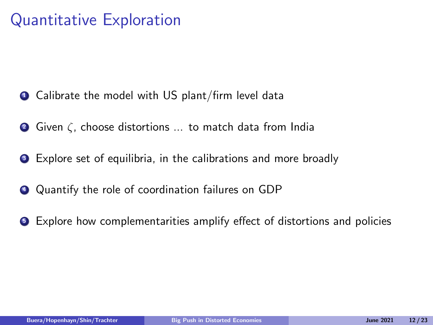### Quantitative Exploration

- Calibrate the model with US plant/firm level data
- <sup>2</sup> Given ζ, choose distortions ... to match data from India
- <sup>3</sup> Explore set of equilibria, in the calibrations and more broadly
- <sup>4</sup> Quantify the role of coordination failures on GDP
- <sup>5</sup> Explore how complementarities amplify effect of distortions and policies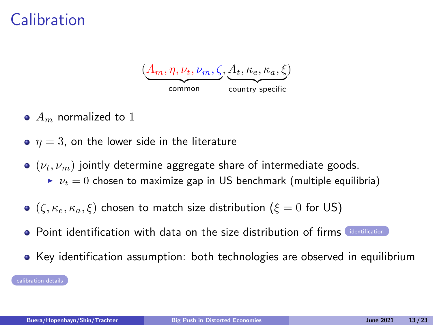### **Calibration**



- $\bullet$   $A_m$  normalized to 1
- $\bullet$   $n = 3$ , on the lower side in the literature
- $(v_t, v_m)$  jointly determine aggregate share of intermediate goods.
	- $\nu_t = 0$  chosen to maximize gap in US benchmark (multiple equilibria)
- $\bullet$  ( $\zeta$ ,  $\kappa_e$ ,  $\kappa_a$ ,  $\xi$ ) chosen to match size distribution ( $\xi = 0$  for US)
- **Point [identification](#page-14-0) with data on the size distribution of firms** identification
- Key identification assumption: both technologies are observed in equilibrium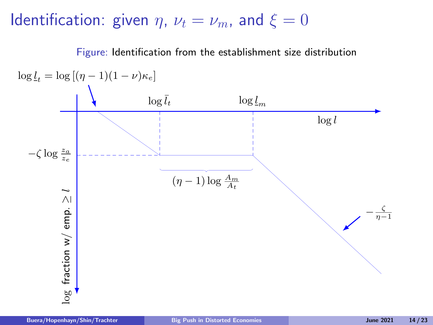### <span id="page-14-0"></span>Identification: given  $\eta$ ,  $\nu_t = \nu_m$ , and  $\xi = 0$

Figure: Identification from the establishment size distribution

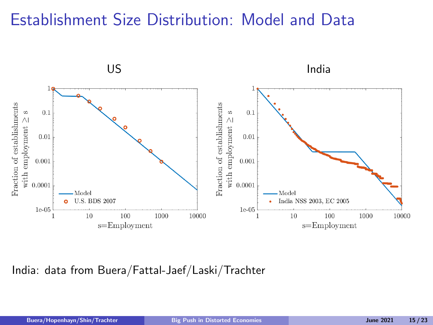### Establishment Size Distribution: Model and Data



India: data from Buera/Fattal-Jaef/Laski/Trachter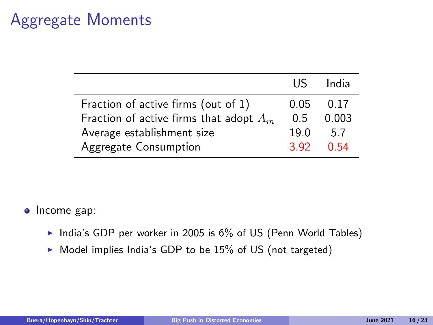#### Aggregate Moments

|                                           | <b>IIS</b> | India |
|-------------------------------------------|------------|-------|
| Fraction of active firms (out of 1)       | 0.05       | 0.17  |
| Fraction of active firms that adopt $A_m$ |            | 0.003 |
| Average establishment size                |            | 5.7   |
| Aggregate Consumption                     | 3.92       | 0.54  |

#### • Income gap:

- India's GDP per worker in 2005 is  $6\%$  of US (Penn World Tables)
- $\triangleright$  Model implies India's GDP to be 15% of US (not targeted)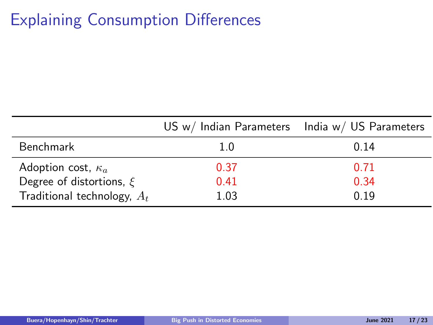# Explaining Consumption Differences

|                               | US $w/$ Indian Parameters India $w/$ US Parameters |      |
|-------------------------------|----------------------------------------------------|------|
| Benchmark                     | 1.0                                                | 0.14 |
| Adoption cost, $\kappa_a$     | 0.37                                               | 0.71 |
| Degree of distortions, $\xi$  | 0.41                                               | 0.34 |
| Traditional technology, $A_t$ | 1.03                                               | በ 19 |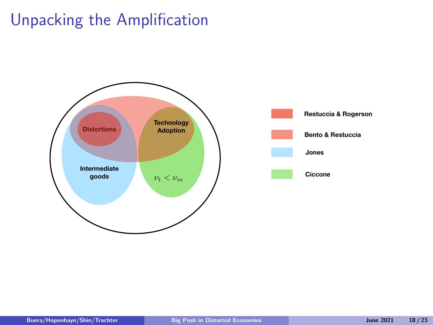# Unpacking the Amplification



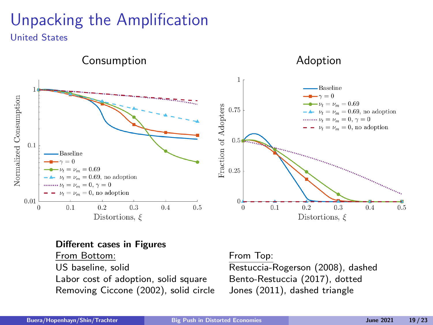# Unpacking the Amplification

United States



#### Different cases in Figures

From Bottom: The From Top:

Removing Ciccone (2002), solid circle Jones (2011), dashed triangle

US baseline, solid Restuccia-Rogerson (2008), dashed Labor cost of adoption, solid square Bento-Restuccia (2017), dotted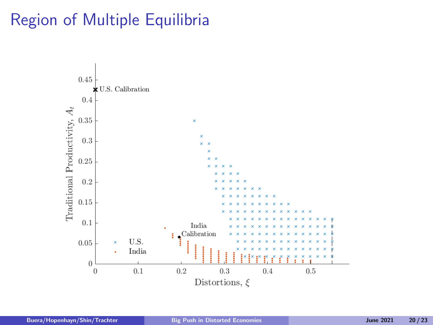# Region of Multiple Equilibria

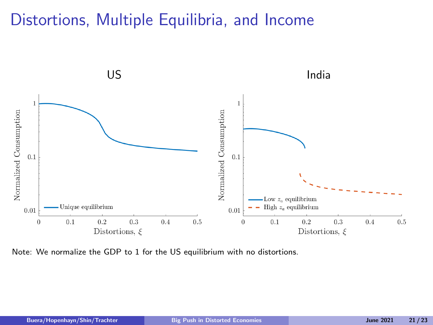### Distortions, Multiple Equilibria, and Income



Note: We normalize the GDP to 1 for the US equilibrium with no distortions.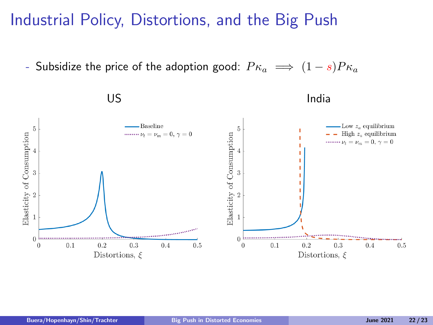Industrial Policy, Distortions, and the Big Push

- Subsidize the price of the adoption good:  $P\kappa_a \implies (1-s)P\kappa_a$